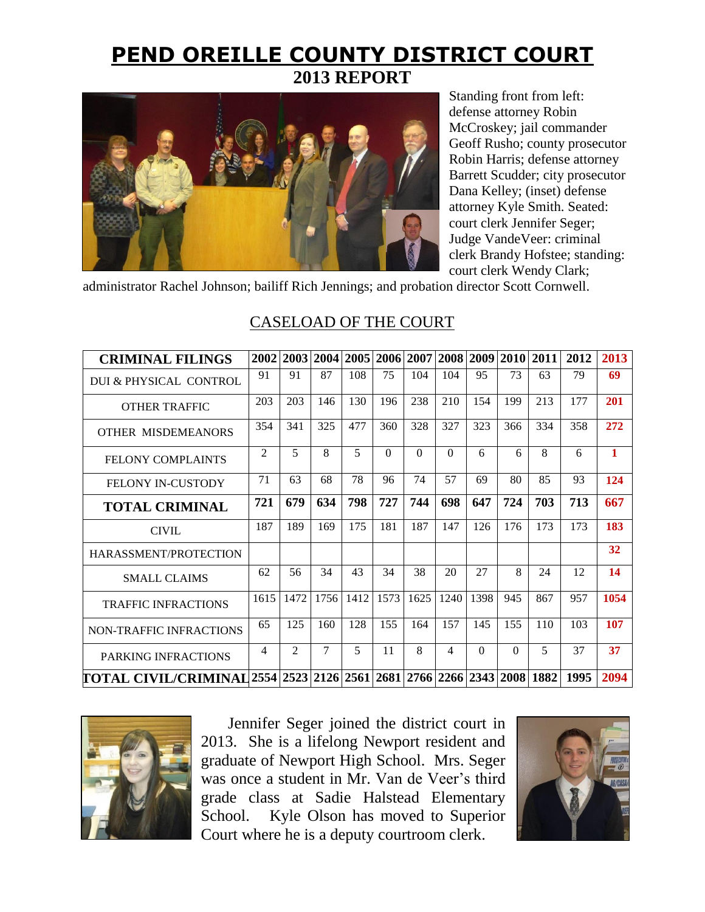# **PEND OREILLE COUNTY DISTRICT COURT 2013 REPORT**



Standing front from left: defense attorney Robin McCroskey; jail commander Geoff Rusho; county prosecutor Robin Harris; defense attorney Barrett Scudder; city prosecutor Dana Kelley; (inset) defense attorney Kyle Smith. Seated: court clerk Jennifer Seger; Judge VandeVeer: criminal clerk Brandy Hofstee; standing: court clerk Wendy Clark;

administrator Rachel Johnson; bailiff Rich Jennings; and probation director Scott Cornwell.

| <b>CRIMINAL FILINGS</b>                                                 | 2002           |                | 2003 2004 |      |          | 2005 2006 2007 |          | 2008 2009 | <b>2010</b> | 2011                    | 2012 | 2013         |
|-------------------------------------------------------------------------|----------------|----------------|-----------|------|----------|----------------|----------|-----------|-------------|-------------------------|------|--------------|
| DUI & PHYSICAL CONTROL                                                  | 91             | 91             | 87        | 108  | 75       | 104            | 104      | 95        | 73          | 63                      | 79   | 69           |
| <b>OTHER TRAFFIC</b>                                                    | 203            | 203            | 146       | 130  | 196      | 238            | 210      | 154       | 199         | 213                     | 177  | 201          |
| OTHER MISDEMEANORS                                                      | 354            | 341            | 325       | 477  | 360      | 328            | 327      | 323       | 366         | 334                     | 358  | 272          |
| <b>FELONY COMPLAINTS</b>                                                | $\mathfrak{D}$ | 5              | 8         | 5    | $\Omega$ | $\Omega$       | $\Omega$ | 6         | 6           | 8                       | 6    | $\mathbf{1}$ |
| <b>FELONY IN-CUSTODY</b>                                                | 71             | 63             | 68        | 78   | 96       | 74             | 57       | 69        | 80          | 85                      | 93   | 124          |
| <b>TOTAL CRIMINAL</b>                                                   | 721            | 679            | 634       | 798  | 727      | 744            | 698      | 647       | 724         | 703                     | 713  | 667          |
| <b>CIVIL</b>                                                            | 187            | 189            | 169       | 175  | 181      | 187            | 147      | 126       | 176         | 173                     | 173  | 183          |
| HARASSMENT/PROTECTION                                                   |                |                |           |      |          |                |          |           |             |                         |      | 32           |
| <b>SMALL CLAIMS</b>                                                     | 62             | 56             | 34        | 43   | 34       | 38             | 20       | 27        | 8           | 24                      | 12   | 14           |
| <b>TRAFFIC INFRACTIONS</b>                                              | 1615           | 1472           | 1756      | 1412 | 1573     | 1625           | 1240     | 1398      | 945         | 867                     | 957  | 1054         |
| NON-TRAFFIC INFRACTIONS                                                 | 65             | 125            | 160       | 128  | 155      | 164            | 157      | 145       | 155         | 110                     | 103  | 107          |
| PARKING INFRACTIONS                                                     | $\overline{4}$ | $\mathfrak{D}$ | 7         | 5    | 11       | 8              | 4        | $\Omega$  | $\Omega$    | $\overline{\mathbf{z}}$ | 37   | 37           |
| [TOTAL_CIVIL/CRIMINAL]2554 2523 2126 2561 2681 2766 2266 2343 2008 1882 |                |                |           |      |          |                |          |           |             |                         | 1995 | 2094         |

## CASELOAD OF THE COURT



Jennifer Seger joined the district court in 2013. She is a lifelong Newport resident and graduate of Newport High School. Mrs. Seger was once a student in Mr. Van de Veer's third grade class at Sadie Halstead Elementary School. Kyle Olson has moved to Superior Court where he is a deputy courtroom clerk.